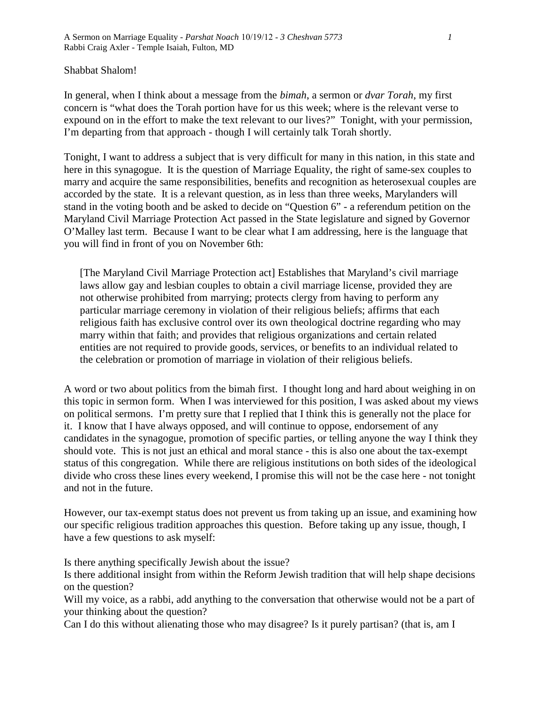Shabbat Shalom!

In general, when I think about a message from the *bimah*, a sermon or *dvar Torah*, my first concern is "what does the Torah portion have for us this week; where is the relevant verse to expound on in the effort to make the text relevant to our lives?" Tonight, with your permission, I'm departing from that approach - though I will certainly talk Torah shortly.

Tonight, I want to address a subject that is very difficult for many in this nation, in this state and here in this synagogue. It is the question of Marriage Equality, the right of same-sex couples to marry and acquire the same responsibilities, benefits and recognition as heterosexual couples are accorded by the state. It is a relevant question, as in less than three weeks, Marylanders will stand in the voting booth and be asked to decide on "Question 6" - a referendum petition on the Maryland Civil Marriage Protection Act passed in the State legislature and signed by Governor O'Malley last term. Because I want to be clear what I am addressing, here is the language that you will find in front of you on November 6th:

[The Maryland Civil Marriage Protection act] Establishes that Maryland's civil marriage laws allow gay and lesbian couples to obtain a civil marriage license, provided they are not otherwise prohibited from marrying; protects clergy from having to perform any particular marriage ceremony in violation of their religious beliefs; affirms that each religious faith has exclusive control over its own theological doctrine regarding who may marry within that faith; and provides that religious organizations and certain related entities are not required to provide goods, services, or benefits to an individual related to the celebration or promotion of marriage in violation of their religious beliefs.

A word or two about politics from the bimah first. I thought long and hard about weighing in on this topic in sermon form. When I was interviewed for this position, I was asked about my views on political sermons. I'm pretty sure that I replied that I think this is generally not the place for it. I know that I have always opposed, and will continue to oppose, endorsement of any candidates in the synagogue, promotion of specific parties, or telling anyone the way I think they should vote. This is not just an ethical and moral stance - this is also one about the tax-exempt status of this congregation. While there are religious institutions on both sides of the ideological divide who cross these lines every weekend, I promise this will not be the case here - not tonight and not in the future.

However, our tax-exempt status does not prevent us from taking up an issue, and examining how our specific religious tradition approaches this question. Before taking up any issue, though, I have a few questions to ask myself:

Is there anything specifically Jewish about the issue?

Is there additional insight from within the Reform Jewish tradition that will help shape decisions on the question?

Will my voice, as a rabbi, add anything to the conversation that otherwise would not be a part of your thinking about the question?

Can I do this without alienating those who may disagree? Is it purely partisan? (that is, am I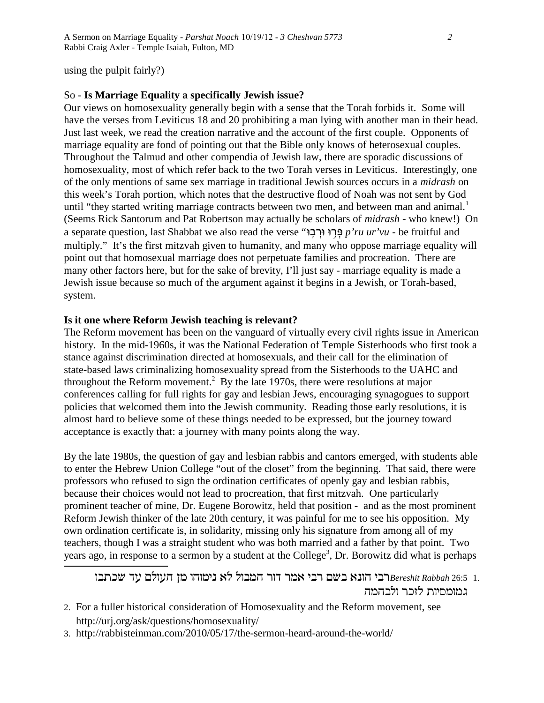using the pulpit fairly?)

## So - **Is Marriage Equality a specifically Jewish issue?**

Our views on homosexuality generally begin with a sense that the Torah forbids it. Some will have the verses from Leviticus 18 and 20 prohibiting a man lying with another man in their head. Just last week, we read the creation narrative and the account of the first couple. Opponents of marriage equality are fond of pointing out that the Bible only knows of heterosexual couples. Throughout the Talmud and other compendia of Jewish law, there are sporadic discussions of homosexuality, most of which refer back to the two Torah verses in Leviticus. Interestingly, one of the only mentions of same sex marriage in traditional Jewish sources occurs in a *midrash* on this week's Torah portion, which notes that the destructive flood of Noah was not sent by God until "they started writing marriage contracts between two men, and between man and animal.<sup>1</sup> (Seems Rick Santorum and Pat Robertson may actually be scholars of *midrash* - who knew!) On a separate question, last Shabbat we also read the verse "פְּרוּ וּרְבָוּ" p'ru ur'vu - be fruitful and multiply." It's the first mitzvah given to humanity, and many who oppose marriage equality will point out that homosexual marriage does not perpetuate families and procreation. There are many other factors here, but for the sake of brevity, I'll just say - marriage equality is made a Jewish issue because so much of the argument against it begins in a Jewish, or Torah-based, system.

## **Is it one where Reform Jewish teaching is relevant?**

The Reform movement has been on the vanguard of virtually every civil rights issue in American history. In the mid-1960s, it was the National Federation of Temple Sisterhoods who first took a stance against discrimination directed at homosexuals, and their call for the elimination of state-based laws criminalizing homosexuality spread from the Sisterhoods to the UAHC and throughout the Reform movement.<sup>2</sup> By the late 1970s, there were resolutions at major conferences calling for full rights for gay and lesbian Jews, encouraging synagogues to support policies that welcomed them into the Jewish community. Reading those early resolutions, it is almost hard to believe some of these things needed to be expressed, but the journey toward acceptance is exactly that: a journey with many points along the way.

By the late 1980s, the question of gay and lesbian rabbis and cantors emerged, with students able to enter the Hebrew Union College "out of the closet" from the beginning. That said, there were professors who refused to sign the ordination certificates of openly gay and lesbian rabbis, because their choices would not lead to procreation, that first mitzvah. One particularly prominent teacher of mine, Dr. Eugene Borowitz, held that position - and as the most prominent Reform Jewish thinker of the late 20th century, it was painful for me to see his opposition. My own ordination certificate is, in solidarity, missing only his signature from among all of my teachers, though I was a straight student who was both married and a father by that point. Two years ago, in response to a sermon by a student at the College<sup>3</sup>, Dr. Borowitz did what is perhaps

רבי הונא בשם רבי אמר דור המבול לא נימוחו מן העולם עד שכתבו Bereshit Rabbah 26:5 1. גמומסיות לזכר ולבהמה

- 2. For a fuller historical consideration of Homosexuality and the Reform movement, see http://urj.org/ask/questions/homosexuality/
- 3. http://rabbisteinman.com/2010/05/17/the-sermon-heard-around-the-world/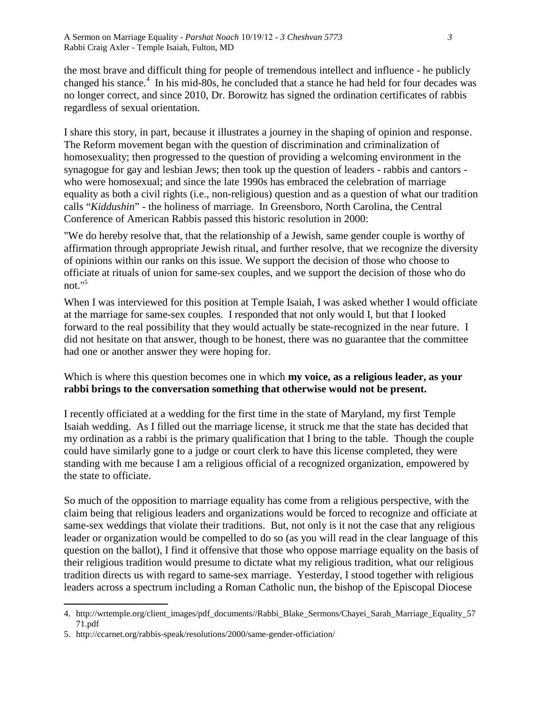the most brave and difficult thing for people of tremendous intellect and influence - he publicly changed his stance.<sup>4</sup> In his mid-80s, he concluded that a stance he had held for four decades was no longer correct, and since 2010, Dr. Borowitz has signed the ordination certificates of rabbis regardless of sexual orientation.

I share this story, in part, because it illustrates a journey in the shaping of opinion and response. The Reform movement began with the question of discrimination and criminalization of homosexuality; then progressed to the question of providing a welcoming environment in the synagogue for gay and lesbian Jews; then took up the question of leaders - rabbis and cantors who were homosexual; and since the late 1990s has embraced the celebration of marriage equality as both a civil rights (i.e., non-religious) question and as a question of what our tradition calls "*Kiddushin*" - the holiness of marriage. In Greensboro, North Carolina, the Central Conference of American Rabbis passed this historic resolution in 2000:

"We do hereby resolve that, that the relationship of a Jewish, same gender couple is worthy of affirmation through appropriate Jewish ritual, and further resolve, that we recognize the diversity of opinions within our ranks on this issue. We support the decision of those who choose to officiate at rituals of union for same-sex couples, and we support the decision of those who do not."<sup>5</sup>

When I was interviewed for this position at Temple Isaiah, I was asked whether I would officiate at the marriage for same-sex couples. I responded that not only would I, but that I looked forward to the real possibility that they would actually be state-recognized in the near future. I did not hesitate on that answer, though to be honest, there was no guarantee that the committee had one or another answer they were hoping for.

## Which is where this question becomes one in which **my voice, as a religious leader, as your rabbi brings to the conversation something that otherwise would not be present.**

I recently officiated at a wedding for the first time in the state of Maryland, my first Temple Isaiah wedding. As I filled out the marriage license, it struck me that the state has decided that my ordination as a rabbi is the primary qualification that I bring to the table. Though the couple could have similarly gone to a judge or court clerk to have this license completed, they were standing with me because I am a religious official of a recognized organization, empowered by the state to officiate.

So much of the opposition to marriage equality has come from a religious perspective, with the claim being that religious leaders and organizations would be forced to recognize and officiate at same-sex weddings that violate their traditions. But, not only is it not the case that any religious leader or organization would be compelled to do so (as you will read in the clear language of this question on the ballot), I find it offensive that those who oppose marriage equality on the basis of their religious tradition would presume to dictate what my religious tradition, what our religious tradition directs us with regard to same-sex marriage. Yesterday, I stood together with religious leaders across a spectrum including a Roman Catholic nun, the bishop of the Episcopal Diocese

<sup>4.</sup> http://wrtemple.org/client\_images/pdf\_documents//Rabbi\_Blake\_Sermons/Chayei\_Sarah\_Marriage\_Equality\_57 71.pdf

<sup>5.</sup> http://ccarnet.org/rabbis-speak/resolutions/2000/same-gender-officiation/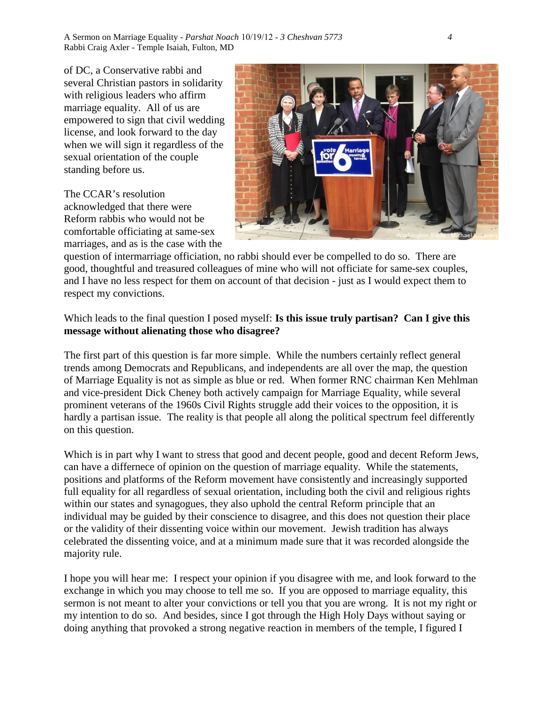A Sermon on Marriage Equality - *Parshat Noach* 10/19/12 - *3 Cheshvan 5773 4* Rabbi Craig Axler - Temple Isaiah, Fulton, MD

of DC, a Conservative rabbi and several Christian pastors in solidarity with religious leaders who affirm marriage equality. All of us are empowered to sign that civil wedding license, and look forward to the day when we will sign it regardless of the sexual orientation of the couple standing before us.

The CCAR's resolution acknowledged that there were Reform rabbis who would not be comfortable officiating at same-sex marriages, and as is the case with the



question of intermarriage officiation, no rabbi should ever be compelled to do so. There are good, thoughtful and treasured colleagues of mine who will not officiate for same-sex couples, and I have no less respect for them on account of that decision - just as I would expect them to respect my convictions.

## Which leads to the final question I posed myself: **Is this issue truly partisan? Can I give this message without alienating those who disagree?**

The first part of this question is far more simple. While the numbers certainly reflect general trends among Democrats and Republicans, and independents are all over the map, the question of Marriage Equality is not as simple as blue or red. When former RNC chairman Ken Mehlman and vice-president Dick Cheney both actively campaign for Marriage Equality, while several prominent veterans of the 1960s Civil Rights struggle add their voices to the opposition, it is hardly a partisan issue. The reality is that people all along the political spectrum feel differently on this question.

Which is in part why I want to stress that good and decent people, good and decent Reform Jews, can have a differnece of opinion on the question of marriage equality. While the statements, positions and platforms of the Reform movement have consistently and increasingly supported full equality for all regardless of sexual orientation, including both the civil and religious rights within our states and synagogues, they also uphold the central Reform principle that an individual may be guided by their conscience to disagree, and this does not question their place or the validity of their dissenting voice within our movement. Jewish tradition has always celebrated the dissenting voice, and at a minimum made sure that it was recorded alongside the majority rule.

I hope you will hear me: I respect your opinion if you disagree with me, and look forward to the exchange in which you may choose to tell me so. If you are opposed to marriage equality, this sermon is not meant to alter your convictions or tell you that you are wrong. It is not my right or my intention to do so. And besides, since I got through the High Holy Days without saying or doing anything that provoked a strong negative reaction in members of the temple, I figured I